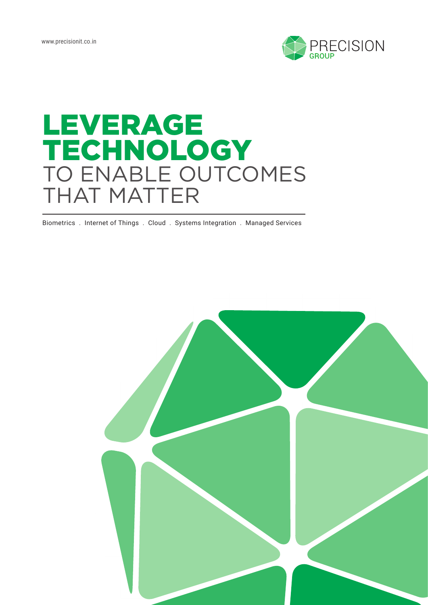

# LEVERAGE TECHNOLOGY TO ENABLE OUTCOMES THAT MATTER

Biometrics . Internet of Things . Cloud . Systems Integration . Managed Services

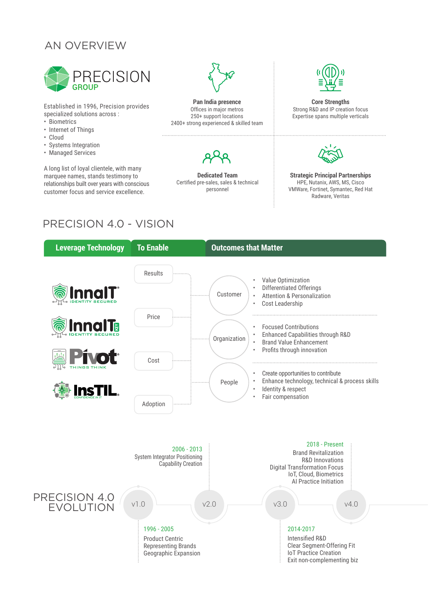# AN OVERVIEW



Established in 1996, Precision provides specialized solutions across :

- Biometrics
- Internet of Things
- Cloud
- Systems Integration
- Managed Services

A long list of loyal clientele, with many marquee names, stands testimony to relationships built over years with conscious customer focus and service excellence.



**Pan India presence** Offices in major metros 250+ support locations 2400+ strong experienced & skilled team



**Dedicated Team** Certified pre-sales, sales & technical personnel

**Core Strengths** Strong R&D and IP creation focus Expertise spans multiple verticals



**Strategic Principal Partnerships** HPE, Nutanix, AWS, MS, Cisco VMWare, Fortinet, Symantec, Red Hat Radware, Veritas

# PRECISION 4.0 - VISION

| <b>Leverage Technology</b>        | <b>To Enable</b>                                                                            | <b>Outcomes that Matter</b>                                                                                                                                    |  |  |
|-----------------------------------|---------------------------------------------------------------------------------------------|----------------------------------------------------------------------------------------------------------------------------------------------------------------|--|--|
| InnaIT                            | Results                                                                                     | Value Optimization<br><b>Differentiated Offerings</b><br>Customer<br><b>Attention &amp; Personalization</b><br>Cost Leadership<br>$\bullet$                    |  |  |
| <b>InnalTo</b>                    | Price<br>Cost                                                                               | <b>Focused Contributions</b><br>Enhanced Capabilities through R&D<br>Organization<br><b>Brand Value Enhancement</b><br>Profits through innovation<br>$\bullet$ |  |  |
| THINGS THINK<br><b>InsTIL</b>     | Adoption                                                                                    | Create opportunities to contribute<br>Enhance technology, technical & process skills<br>People<br>Identity & respect<br>$\bullet$<br>Fair compensation         |  |  |
|                                   | $2006 - 2013$<br><b>System Integrator Positioning</b><br><b>Capability Creation</b>         | 2018 - Present<br><b>Brand Revitalization</b><br>R&D Innovations<br><b>Digital Transformation Focus</b><br>IoT, Cloud, Biometrics<br>Al Practice Initiation    |  |  |
| PRECISION 4.0<br><b>EVOLUTION</b> | V1.0                                                                                        | V3.0<br>V2.0<br>V4.0                                                                                                                                           |  |  |
|                                   | 1996 - 2005<br><b>Product Centric</b><br><b>Representing Brands</b><br>Geographic Expansion | 2014-2017<br><b>Intensified R&amp;D</b><br>Clear Segment-Offering Fit<br><b>IoT Practice Creation</b><br>Exit non-complementing biz                            |  |  |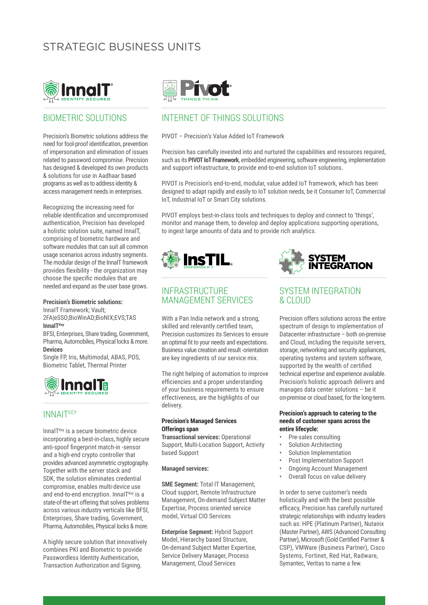# STRATEGIC BUSINESS UNITS



### BIOMETRIC SOLUTIONS

Precision's Biometric solutions address the need for fool-proof identification, prevention of impersonation and elimination of issues related to password compromise. Precision has designed & developed its own products & solutions for use in Aadhaar based programs as well as to address identity & access management needs in enterprises.

Recognizing the increasing need for reliable identification and uncompromised authentication, Precision has developed a holistic solution suite, named InnaIT, comprising of biometric hardware and software modules that can suit all common usage scenarios across industry segments. The modular design of the InnaIT framework provides flexibility - the organization may choose the specific modules that are needed and expand as the user base grows.

#### **Precision's Biometric solutions:**

InnaIT Framework; Vault; 2FA|eSSO;BioWinAD;BioNIX;EVS;TAS **InnaIT**<sup>Key</sup>

BFSI, Enterprises, Share trading, Government, Pharma, Automobiles, Physical locks & more. **Devices**

Single FP, Iris, Multimodal, ABAS, POS, Biometric Tablet, Thermal Printer



### **INNAITKEY**

InnaI $T<sup>Key</sup>$  is a secure biometric device incorporating a best-in-class, highly secure anti-spoof fingerprint match-in -sensor and a high-end crypto controller that provides advanced asymmetric cryptography. Together with the server stack and SDK, the solution eliminates credential compromise, enables multi-device use and end-to-end encryption. Innal $T<sup>Key</sup>$  is a state-of-the-art offering that solves problems across various industry verticals like BFSI, Enterprises, Share trading, Government, Pharma, Automobiles, Physical locks & more.

A highly secure solution that innovatively combines PKI and Biometric to provide Passwordless Identity Authentication, Transaction Authorization and Signing.



## INTERNET OF THINGS SOLUTIONS

#### PIVOT – Precision's Value Added IoT Framework

Precision has carefully invested into and nurtured the capabilities and resources required, such as its **PIVOT IoT Framework**, embedded engineering, software engineering, implementation and support infrastructure, to provide end-to-end solution IoT solutions.

PIVOT is Precision's end-to-end, modular, value added IoT framework, which has been designed to adapt rapidly and easily to IoT solution needs, be it Consumer IoT, Commercial IoT, Industrial IoT or Smart City solutions.

PIVOT employs best-in-class tools and techniques to deploy and connect to 'things', monitor and manage them, to develop and deploy applications supporting operations, to ingest large amounts of data and to provide rich analytics.



### INFRASTRUCTURE MANAGEMENT SERVICES

With a Pan India network and a strong, skilled and relevantly certified team, Precision customizes its Services to ensure an optimal fit to your needs and expectations. Business value creation and result -orientation are key ingredients of our service mix.

The right helping of automation to improve efficiencies and a proper understanding of your business requirements to ensure effectiveness, are the highlights of our delivery.

#### **Precision's Managed Services Offerings span**

**Transactional services:** Operational Support, Multi-Location Support, Activity based Support

#### **Managed services:**

**SME Segment:** Total IT Management, Cloud support, Remote Infrastructure Management, On-demand Subject Matter Expertise, Process oriented service model, Virtual CIO Services

**Enterprise Segment:** Hybrid Support Model, Hierarchy based Structure, On-demand Subject Matter Expertise, Service Delivery Manager, Process Management, Cloud Services



### SYSTEM INTEGRATION & CLOUD

Precision offers solutions across the entire spectrum of design to implementation of Datacenter infrastructure – both on-premise and Cloud, including the requisite servers, storage, networking and security appliances, operating systems and system software, supported by the wealth of certified technical expertise and experience available. Precision's holistic approach delivers and manages data center solutions – be it on-premise or cloud based, for the long-term.

#### **Precision's approach to catering to the needs of customer spans across the entire lifecycle:**

- Pre-sales consulting
- Solution Architecting
- Solution Implementation
- Post Implementation Support
- Ongoing Account Management
- Overall focus on value delivery

In order to serve customer's needs holistically and with the best possible efficacy, Precision has carefully nurtured strategic relationships with industry leaders such as: HPE (Platinum Partner), Nutanix (Master Partner), AWS (Advanced Consulting Partner), Microsoft (Gold Certified Partner & CSP), VMWare (Business Partner), Cisco Systems, Fortinet, Red Hat, Radware, Symantec, Veritas to name a few.